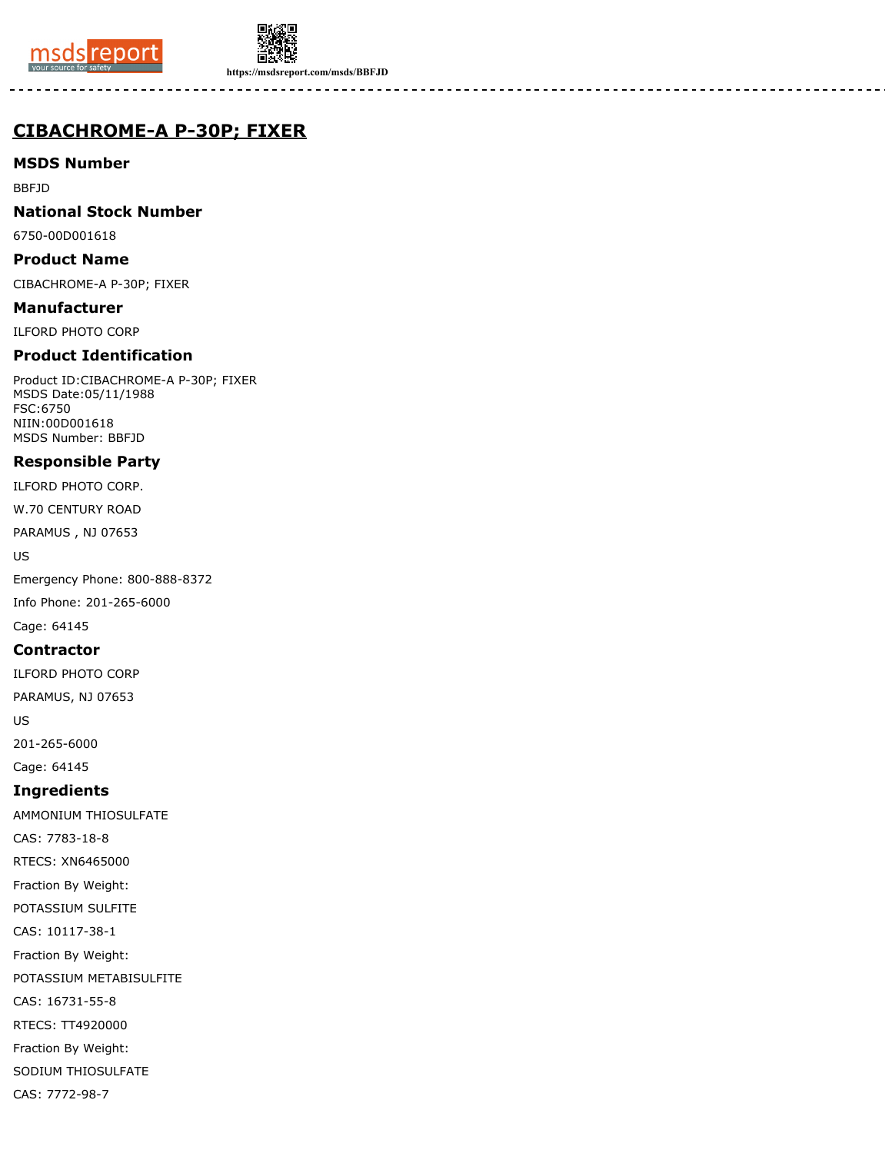



**https://msdsreport.com/msds/BBFJD**

## **CIBACHROME-A P-30P; FIXER**

## **MSDS Number**

BBFJD

## **National Stock Number**

6750-00D001618

#### **Product Name**

CIBACHROME-A P-30P; FIXER

#### **Manufacturer**

ILFORD PHOTO CORP

## **Product Identification**

Product ID:CIBACHROME-A P-30P; FIXER MSDS Date:05/11/1988 FSC:6750 NIIN:00D001618 MSDS Number: BBFJD

## **Responsible Party**

ILFORD PHOTO CORP.

W.70 CENTURY ROAD

PARAMUS , NJ 07653

US

Emergency Phone: 800-888-8372

Info Phone: 201-265-6000

# Cage: 64145

## **Contractor**

ILFORD PHOTO CORP

PARAMUS, NJ 07653

US

201-265-6000

Cage: 64145

## **Ingredients**

AMMONIUM THIOSULFATE CAS: 7783-18-8 RTECS: XN6465000 Fraction By Weight: POTASSIUM SULFITE

CAS: 10117-38-1

Fraction By Weight:

POTASSIUM METABISULFITE

CAS: 16731-55-8

RTECS: TT4920000

Fraction By Weight:

SODIUM THIOSULFATE

CAS: 7772-98-7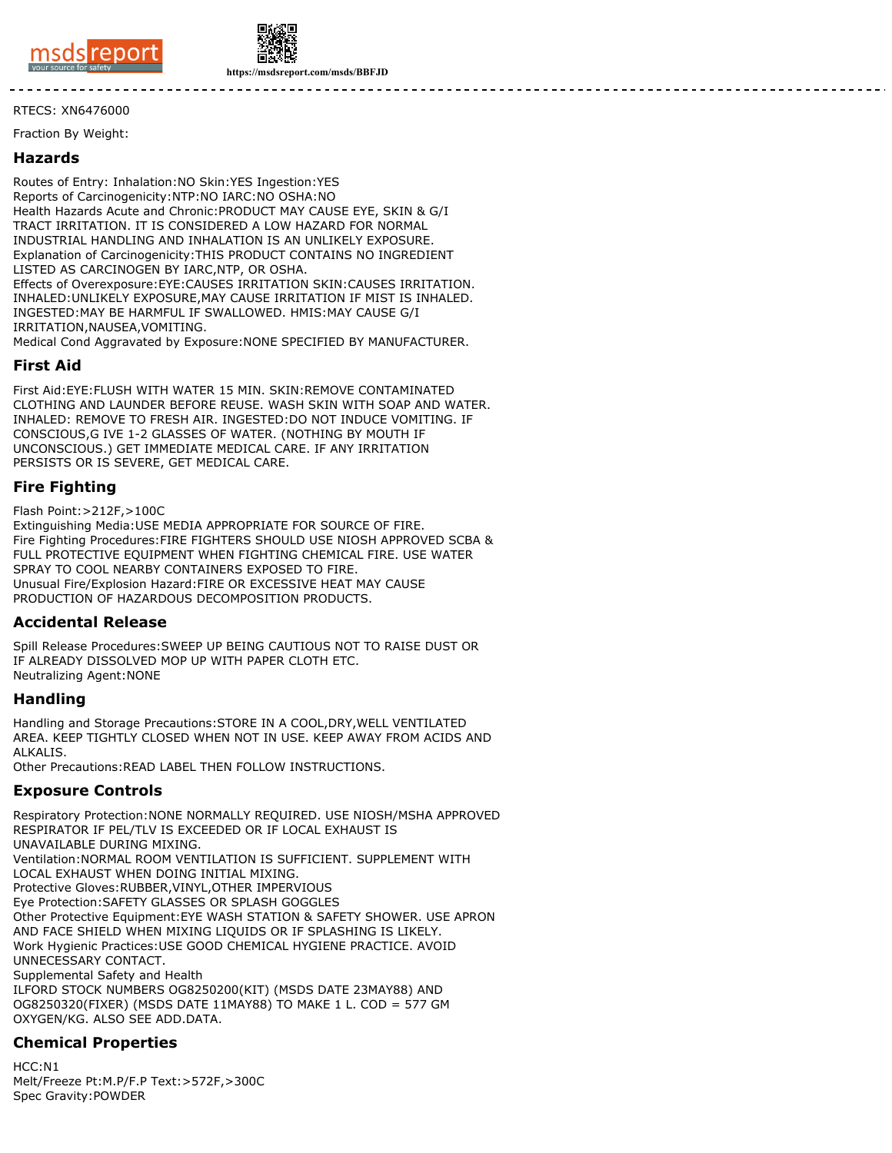



**https://msdsreport.com/msds/BBFJD**

#### RTECS: XN6476000

Fraction By Weight:

#### **Hazards**

Routes of Entry: Inhalation:NO Skin:YES Ingestion:YES Reports of Carcinogenicity:NTP:NO IARC:NO OSHA:NO Health Hazards Acute and Chronic:PRODUCT MAY CAUSE EYE, SKIN & G/I TRACT IRRITATION. IT IS CONSIDERED A LOW HAZARD FOR NORMAL INDUSTRIAL HANDLING AND INHALATION IS AN UNLIKELY EXPOSURE. Explanation of Carcinogenicity:THIS PRODUCT CONTAINS NO INGREDIENT LISTED AS CARCINOGEN BY IARC,NTP, OR OSHA. Effects of Overexposure:EYE:CAUSES IRRITATION SKIN:CAUSES IRRITATION. INHALED:UNLIKELY EXPOSURE,MAY CAUSE IRRITATION IF MIST IS INHALED. INGESTED:MAY BE HARMFUL IF SWALLOWED. HMIS:MAY CAUSE G/I IRRITATION,NAUSEA,VOMITING.

Medical Cond Aggravated by Exposure:NONE SPECIFIED BY MANUFACTURER.

## **First Aid**

First Aid:EYE:FLUSH WITH WATER 15 MIN. SKIN:REMOVE CONTAMINATED CLOTHING AND LAUNDER BEFORE REUSE. WASH SKIN WITH SOAP AND WATER. INHALED: REMOVE TO FRESH AIR. INGESTED:DO NOT INDUCE VOMITING. IF CONSCIOUS,G IVE 1-2 GLASSES OF WATER. (NOTHING BY MOUTH IF UNCONSCIOUS.) GET IMMEDIATE MEDICAL CARE. IF ANY IRRITATION PERSISTS OR IS SEVERE, GET MEDICAL CARE.

## **Fire Fighting**

Flash Point:>212F,>100C

Extinguishing Media:USE MEDIA APPROPRIATE FOR SOURCE OF FIRE. Fire Fighting Procedures:FIRE FIGHTERS SHOULD USE NIOSH APPROVED SCBA & FULL PROTECTIVE EQUIPMENT WHEN FIGHTING CHEMICAL FIRE. USE WATER SPRAY TO COOL NEARBY CONTAINERS EXPOSED TO FIRE. Unusual Fire/Explosion Hazard:FIRE OR EXCESSIVE HEAT MAY CAUSE PRODUCTION OF HAZARDOUS DECOMPOSITION PRODUCTS.

#### **Accidental Release**

Spill Release Procedures:SWEEP UP BEING CAUTIOUS NOT TO RAISE DUST OR IF ALREADY DISSOLVED MOP UP WITH PAPER CLOTH ETC. Neutralizing Agent:NONE

#### **Handling**

Handling and Storage Precautions:STORE IN A COOL,DRY,WELL VENTILATED AREA. KEEP TIGHTLY CLOSED WHEN NOT IN USE. KEEP AWAY FROM ACIDS AND ALKALIS.

Other Precautions:READ LABEL THEN FOLLOW INSTRUCTIONS.

#### **Exposure Controls**

Respiratory Protection:NONE NORMALLY REQUIRED. USE NIOSH/MSHA APPROVED RESPIRATOR IF PEL/TLV IS EXCEEDED OR IF LOCAL EXHAUST IS UNAVAILABLE DURING MIXING. Ventilation:NORMAL ROOM VENTILATION IS SUFFICIENT. SUPPLEMENT WITH LOCAL EXHAUST WHEN DOING INITIAL MIXING. Protective Gloves:RUBBER,VINYL,OTHER IMPERVIOUS Eye Protection:SAFETY GLASSES OR SPLASH GOGGLES Other Protective Equipment:EYE WASH STATION & SAFETY SHOWER. USE APRON AND FACE SHIELD WHEN MIXING LIQUIDS OR IF SPLASHING IS LIKELY. Work Hygienic Practices:USE GOOD CHEMICAL HYGIENE PRACTICE. AVOID UNNECESSARY CONTACT. Supplemental Safety and Health ILFORD STOCK NUMBERS OG8250200(KIT) (MSDS DATE 23MAY88) AND OG8250320(FIXER) (MSDS DATE 11MAY88) TO MAKE 1 L. COD = 577 GM OXYGEN/KG. ALSO SEE ADD.DATA.

## **Chemical Properties**

 $HCC: N1$ Melt/Freeze Pt:M.P/F.P Text:>572F,>300C Spec Gravity:POWDER